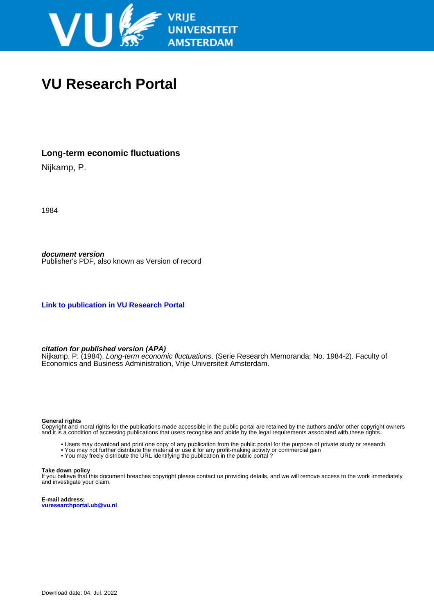

## **VU Research Portal**

## **Long-term economic fluctuations**

Nijkamp, P.

1984

**document version** Publisher's PDF, also known as Version of record

**[Link to publication in VU Research Portal](https://research.vu.nl/en/publications/f6369337-0de7-4d23-bbd1-9958c580a59b)**

## **citation for published version (APA)**

Nijkamp, P. (1984). *Long-term economic fluctuations*. (Serie Research Memoranda; No. 1984-2). Faculty of Economics and Business Administration, Vrije Universiteit Amsterdam.

#### **General rights**

Copyright and moral rights for the publications made accessible in the public portal are retained by the authors and/or other copyright owners and it is a condition of accessing publications that users recognise and abide by the legal requirements associated with these rights.

- Users may download and print one copy of any publication from the public portal for the purpose of private study or research.
- You may not further distribute the material or use it for any profit-making activity or commercial gain
- You may freely distribute the URL identifying the publication in the public portal?

#### **Take down policy**

If you believe that this document breaches copyright please contact us providing details, and we will remove access to the work immediately and investigate your claim.

**E-mail address: vuresearchportal.ub@vu.nl**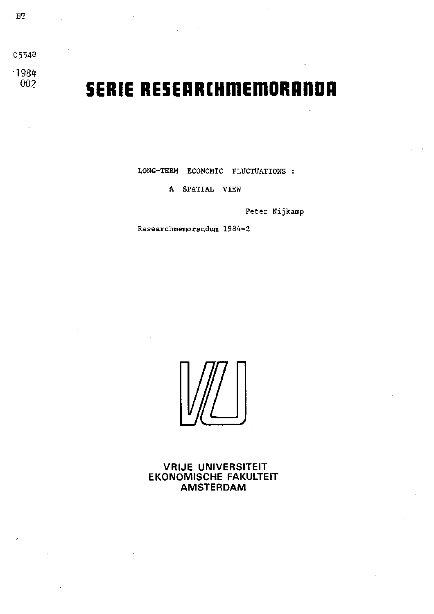05348  $^{+1984}_{-002}$ 

# **SERIE RESEARCHMEMORANDA**

LONG-TERM ECONOMIC FLUCTUATIONS :

A SPATIAL VIEW

Peter Nijkamp

Researchmemorandum 1984-2

VRIJE UNIVERSITEIT EKONOMISCHE FAKULTEIT AMSTERDAM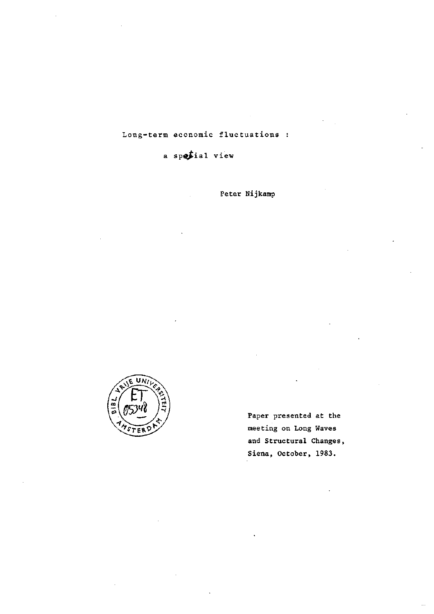Long-term economie fluctuations

a sp $\notin$ ial view

Peter Nijkamp



Paper presented at the meeting on Long Waves and Structural Changes, Siena, October, 1983.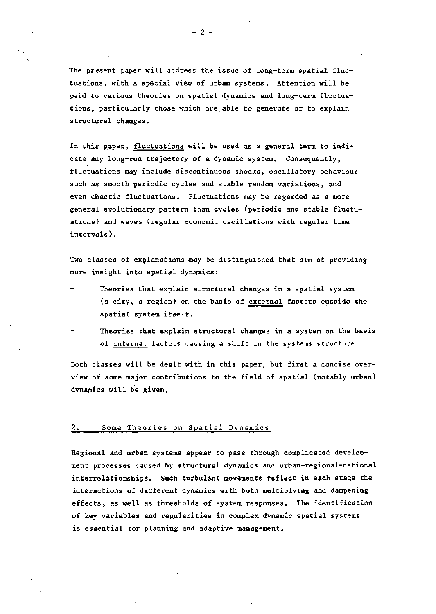The present paper will address the issue of long-term spatial fluctuations, with a special view of urban systems. Attention will be paid to various theories on spatial dynamics and long-term fluctuations, particularly those which are.able to generate or to explain structural changes.

In this paper, fluctuations will be used as a general term to indicate any long-run trajectory of a dynamic system. Consequently, fluctuations may include discontinuous shocks, oscillatory behaviour such as smooth periodic cycles and stable random variations, and even chaotic fluctuations. Fluctuations may be regarded as a more general evolutionary pattern than cycles (periodic and stable fluctuations) and waves (regular economie oscillations with regular time intervals).

Two classes of explanations may be distinguished that aim at providing more insight into spatial dynamics:

- Theories that explain structural changes in a spatial system (a city, a region) on the basis of external factors outside the spatial system itself.
	- Theories that explain structural changes in a system on the basis of intemal factors causing a shift in the systems structure.

Both classes will be dealt with in this paper, but first a concise overview of some major contributions to the field of spatial (notably urban) dynamics will be given.

#### 2. Some Theories on Spatial Dynamics

Regional and urban systems appear to pass through complicated development processes caused by structural dynamics and urban-regional-national interrelationships. Such turbulent movements reflect in each stage the interactions of different dynamics with both multiplying and dampening effects, as well as thresholds of system responses. The identification of key variables and regularities in complex dynamic spatial systems is essential for planning and adaptive management.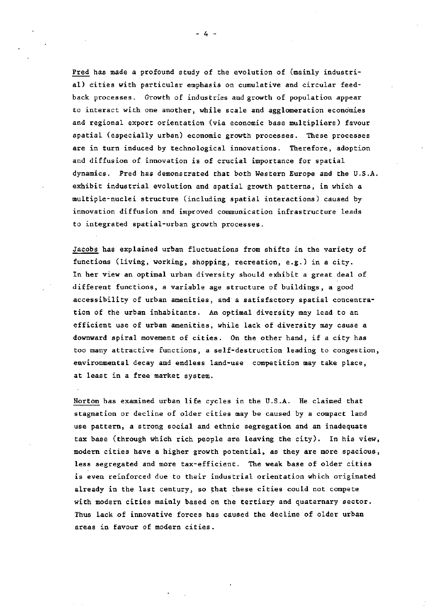Pred has made a profound study of the evolution of (mainly industrial) cities with particular emphasis on cumulative and circular feedback processes. Growth of industries and growth of population appear to interact with one another, while scale and agglomeration economies and regional export orientation (via economie base multipliers) favour spatial (especially urban) economie growth processes. These processes are in turn induced by technological innovations. Therefore, adoption and diffusion of innovation is of crucial importance for spatial dynamics. Pred has demonstrated that both Western Europe and the U.S.A. exhibit industrial evolution and spatial growth patterns, in which a multiple-nuclei structure (including spatial interactions) caused by innovation diffusion and improved communication infrastructure leads to integrated spatial-urban growth processes.

Jacobs has explained urban fluctuations from shifts in the variety of functions (living, working, shopping, recreation, e.g.) in a city. In her view an optimal urban diversity should exhibit a great deal of different functions, a variable age structure of buildings, a good accessibility of urban amenities, and a satisfactory spatial concentration of the urban inhabitants. An optimal diversity may lead to an efficiënt use of urban amenities, while lack of diversity may cause a downward spiral movement of cities. On the other hand, if a city has too many attractive functions, a self-destruction leading to congestion, environmental decay and endless land-use competition may take place, at least in a free market system.

Norton has examined urban life cycles in the U.S.A. He claimed that stagnation or decline of older cities may be caused by a compact land use pattern, a strong social and ethnic segregation and an inadequate tax base (through which rich people are leaving the city). In his view, modern cities have a higher growth potential, as they are more spacious, less segregated and more tax-efficient. The weak base of older cities is even reinforced due to their industrial orientation which originated already in the last century, so that these cities could not compete with modern cities mainly based on the tertiary and quaternary sector. Thus lack of innovative forces has caused the decline of older urban areas in favour of modern cities .

- 4 -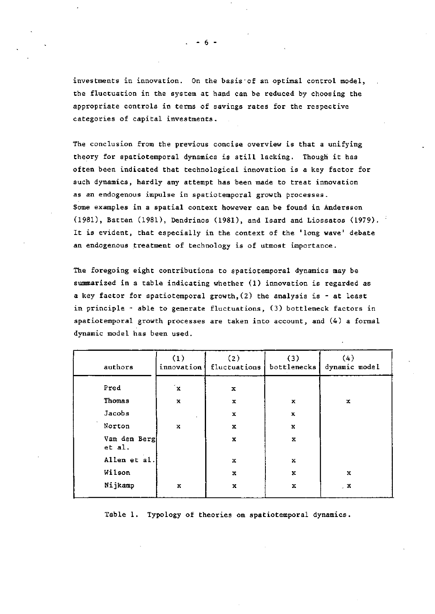investments in innovation. On the basis of an optimal control model, the fluctuation in the system at hand can be reduced by choosing the appropriate controls in terms of savings rates for the respective categories of capital investments.

The conclusion from the previous concise overview is that a unifying theory for spatiotemporal dynamics is still lacking. Though it has often been indicated that technological innovation is a key factor for such dynamics, hardly any attempt has been made to treat innovation as an endogenous impulse in spatiotemporal growth processes. Some examples in a spatial context however can be found in Andersson (1981), Batten (1981), Dendrinos (1981), and Isard and Liossatos (1979). It is evident, that especially in the context of the 'long wave' debate an endogenous treatment of technology is of utmost importance.

The foregoing eight contributions to spatiotemporal dynamics may be summarized in a table indicating whether (1) innovation is regarded as a key factor for spatiotemporal growth,  $(2)$  the analysis is - at least in principle  $\cdot$  able to generate fluctuations, (3) bottleneck factors in spatiotemporal growth processes are taken into account, and (4) a formal dynamic model has been used.

| authors                | (1)<br>innovation | (2)<br>fluctuations | (3)<br>bottlenecks | (4)<br>dynamic model |
|------------------------|-------------------|---------------------|--------------------|----------------------|
| Pred                   | $\mathbf{x}$      | x                   |                    |                      |
| Thomas                 | x                 | x                   | x                  | x                    |
| Jacobs                 |                   | x                   | $\mathbf x$        |                      |
| Norton                 | $\mathbf x$       | x                   | $\mathbf x$        |                      |
| Van den Berg<br>et al. |                   | $\bf x$             | $\mathbf x$        |                      |
| Allen et al.           |                   | x                   | x                  |                      |
| Wilson                 |                   | x                   | x                  | x                    |
| Nijkamp                | $\mathbf x$       | x                   | x                  | . $\mathbf{x}$       |

Table 1. Typology of theories on spatiotemporal dynamics.

. - 6 -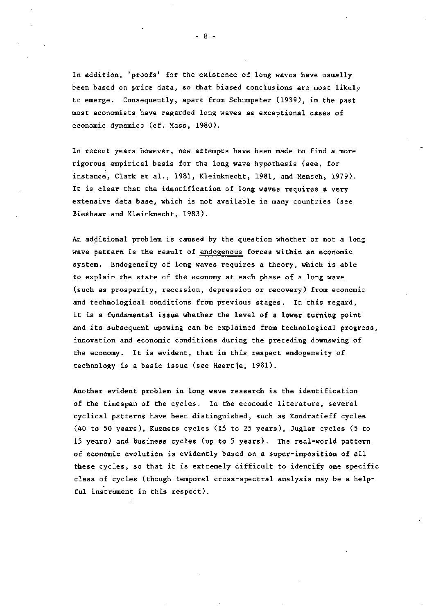In addition, 'proofs' for the existence of long waves have usually been based on price data, so that biased conclusions are most likely to emerge. Consequently, apart from Schumpeter (1939), in the past most economists have regarded long waves as exceptional cases of economie dynamics (cf. Mass, 1980).

In recent years however, new attempts have been made to find a more rigorous empirical basis for the long wave hypothesis (see, for instance, Clark et al., 1981, Kleinknecht, 1981, and Mensch, 1979). It is clear that the identification of long waves requires a very extensive data base, which is not available in many countries (see Bieshaar and Kleinknecht, 1983).

An additional problem is caused by the question whether or not a long wave pattern is the result of endogenous forces within an economie system. Endogeneity of long waves requires a theory, which is able to explain the state of the economy at each phase of a long wave (such as prosperity, reeession, depression or recovery) from economie and technological conditions from previous stages. In this regard, it is a fundamental issue whether the level of a lower turning point and its subsequent upswing can be explained from technological progress, innovation and economie conditions during the preceding downswing of the economy. It is evident, that in this respect endogeneity of technology is a basic issue (see Heertje, 1981).

Another evident problem in long wave research is the identification of the timespan of the cycles. In the economie literature, several cyclical patterns have been distinguished, such as Kondratieff cycles (40 to 50 years), Kuznets cycles (15 to 25 years), Juglar cycles (5 to 15 years) and business cycles (up to 5 years). The real-world pattern of economie evolution is evidently based on a super-imposition of all these cycles, so that it is extremely difficult to identify one specific class of cycles (though temporal cross-spectral analysis may be a helpful instrument in this respect).

- 8 -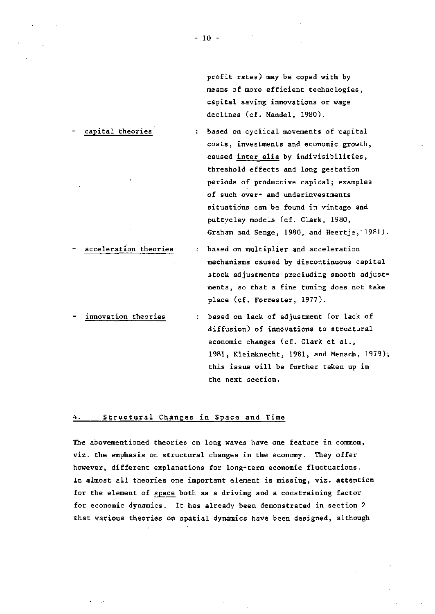profit rates) may be coped with by means of more efficiënt technologies, capital saving innovations or wage declines (cf. Mandel, 1980).

: based on cyclical movements of capital costs, investments and economie growth, caused inter alia by indivisibilities, threshold effects and long gestation periods of productive capital; examples of such over- and underinvestments situatións can be found in vintage and puttyclay models (cf. Clark, 1980, Graham and Senge, 1980, and Heertje,'1981).

: based on multiplier and acceleration mechanisms caused by discontinuous capital stock adjustments precluding smooth adjustments, so that a fine tuning does not take place (cf. Forrester, 1977).

: based on lack of adjustment (or lack of diffusion) of innovations to structural economie changes (cf. Clark et al., 1981, Kleinknecht, 1981, and Mensen, 1979); this issue will be further taken up in the next section.

## Structural Changes in Space and Time

The abovementioned theories on long waves have one feature in common, viz. the emphasis on structural changes in the economy. They offer however, different explanations for long-term economie fluctuations. In almost all theories one important element is missing, viz. attention for the element of space both as a driving and a constraining factor for economie dynamics. It has already been demonstrated in section 2 that various theories on spatial dynamics have been designed, although

acceleration theories

capital theories

innovation theories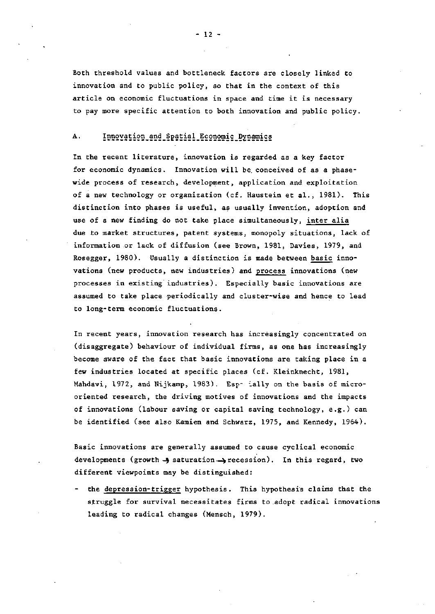Böth threshold values and bottleneck factors are closely linked to innovation and to public policy, so that in the context of this article on economie fluctuations in space and time it is necessary to pay more specific attention to both innovation and public policy.

## A. Innovation and Spatial Economic Dynamics

In the recent literature, innovation is regarded as a key factor for economie dynamics. Innovation will be. conceived of as a phasewide process of research, development, application and exploitation of a new technology or organization (cf. Haustein et al., 1981). This distinction into phases is useful, as usually invention, adoption and use of a new finding do not take place simultaneously, inter alia due to market structures, patent systems, monopoly situations, lack of information or lack of diffusion (see Brown, 1981, Davies, 1979, and Rosegger, 1980). Usually a distinction is made between basic innovations (new products, new industries) and process innovations (new processes in existing industries). Especially basic innovations are assumed to take place periodically and cluster-wise and hence to lead to long-term economie fluctuations.

In recent years, innovation research has increasingly concentrated on (disaggregate) behaviour of individual firms, as one has increasingly become aware of the fact that basic innovations are taking place in a few industries located at specific places (cf. Kleinknecht, 1981, Mahdavi, 1972, and Nijkamp, 1983). Espacially on the basis of microoriented research, the driving motives of innovations and the impacts of innovations (labour saving or capital saving technology, e.g.) can be identified (see also Kamien and Schwarz, 1975, and Kennedy, 1964).

Basic innovations are generally assumed to cause cyclical economie developments (growth  $\rightarrow$  saturation  $\rightarrow$  recession). In this regard, two different viewpoints may be distinguished:

the depression-trigger hypothesis. This hypothesis claims that the struggle for survival necessitates firms to adopt radical innovations leading to radical changes (Mensch, 1979).

- 12 -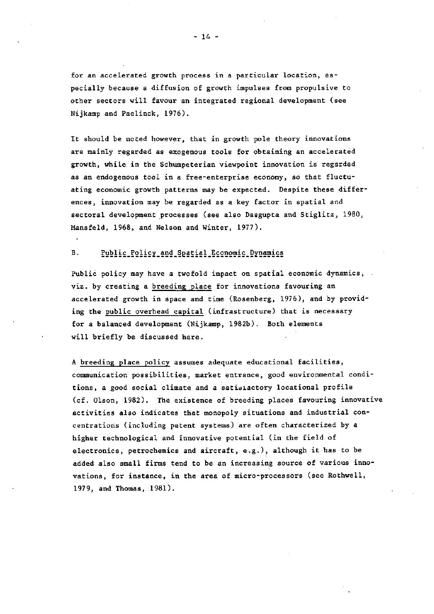for an accelerated growth process in a particular location, especially because a diffusion of growth impulses from propulsive to other sectors will favour an integrated regional development (see Nijkamp and Paelinck, 1976).

It should be noted however, that in growth pole theory innovations are mainly regarded as exogenous tools for obtaining an accelerated growth, while in the Schumpeterian viewpoint innovation is regarded as an endogenous tooi in a free-enterprise economy, so that fluctuating economie growth patterns may be expected. Despite these differences, innovation may be regarded as a key factor in spatial and sectoral development processes (see also Dasgupta and Stiglitz, 1980, Mansfeld, 1968, and Nelson and Winter, 1977).

#### B. Public Policy and Spatial Economic Dynamics

Public policy may have a twofold impact on spatial economie dynamics, viz. by creating a breeding place for innovations favouring an accelerated growth in space and time (Rosenberg, 1976), and by providing the public overhead capital (infrastructure) that is necessary for a balanced development (Nijkamp, 1982b). Both elements will briefly be discussed here.

A breeding place policy assumes adequate educational facilities, communication possibilities, market entrance, good environmental conditions, a good social climate and a satiaiactory locational profile (cf. Olson, 1982). The existence of breeding places favouring innovative activities also indicates that monopoly situations and industrial concentrations (including patent systems) are often characterized by a higher technological and innovative potential (in the field of electronics, petrochemics and aircraft, e.g.), although it has to be added also small firms tend to be an increasing source of various innovations, for instance, in the area of micro-processors (see Rothwell, 1979, and Thomas, 1981).

 $-14 -$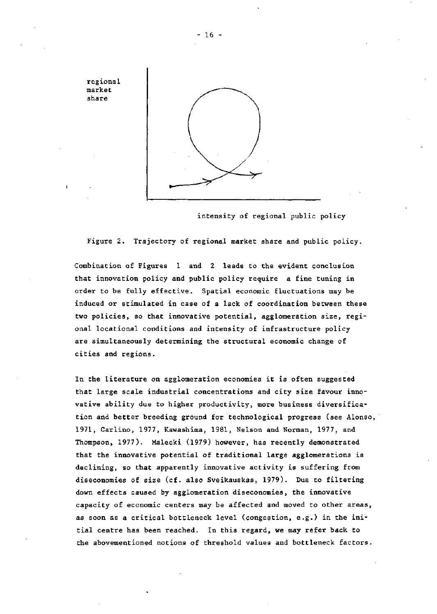

intensity of regional public policy

Figure 2. Trajectory of regional market share and public policy.

Combination of Figures 1 and 2 leads to the evident conclusion that innovation policy and public policy require a fine tuning in order to be fully effective. Spatial economie fluctuations may be induced or stimulated in case of a lack of coordination between these two policies, so that innovative potential, agglomeration size, regional locational conditions and intensity of infrastructure policy are simultaneously determining the structural economie change of cities and regions.

In the literature on agglomeration economies it is often suggested that large scale industrial concentrations and city size favour innovative ability due to higher productivity, more business diversification and better breeding ground for technological progress (see Alonso, 1971, Carlino, 1977, Kawashima, 1981, Nelson and Norman, 1977, and Thompson, 1977). Malecki (1979) however, has recently demonstrated that the innovative potential of traditional large agglomerations is declining, so that apparently innovative activity is suffering from diseconomies of size (cf. also Sveikauskas, 1979). Due to filtering down effects caused by agglomeration diseconomies, the innovative capacity of economie centers may be affected and moved to other areas, as soon as a critical bottleneck level (congestion, e.g.) in the initial centre has been reached. In this regard, we may refer back to the abovementioned notions of threshold values and bottleneck factors.

- 16 -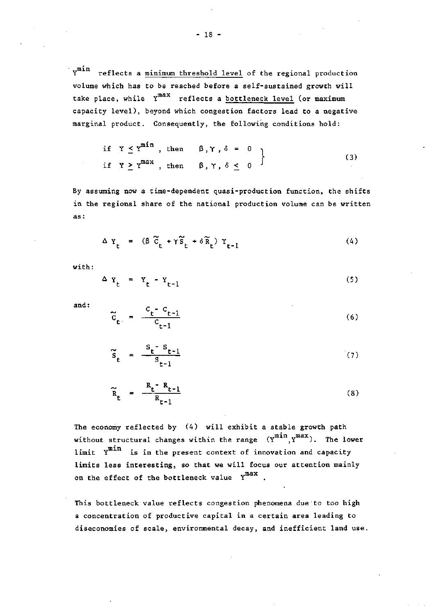$Y^{min}$  reflects a minimum threshold level of the regional production volume which has to be reached before a self-sustained growth will take place, while  $Y^{max}$  reflects a bottleneck level (or maximum capacity level), beyond which congestion factors lead to a negative marginal product. Consequently, the following conditions hold:

if 
$$
Y \leq Y^{min}
$$
, then  $\beta, \gamma, \delta = 0$   
if  $Y \geq Y^{max}$ , then  $\beta, \gamma, \delta \leq 0$  (3)

By assuming now a time-dependent quasi-production function, the shifts in the regional share of the national product ion volume can be written as:

$$
\Delta Y_{t} = (\beta \widetilde{c}_{t} + \gamma \widetilde{S}_{t} + \delta \widetilde{R}_{t}) Y_{t-1}
$$
\n(4)

with :

$$
\Delta Y_{t} = Y_{t} - Y_{t-1}
$$
 (5)

and:

$$
\tilde{c}_{t} = \frac{c_{t} - c_{t-1}}{c_{t-1}}
$$
 (6)

$$
\tilde{s}_{t} = \frac{s_{t} - s_{t-1}}{s_{t-1}}
$$
 (7)

$$
\widetilde{R}_{t} = \frac{R_{t} - R_{t-1}}{R_{t-1}}
$$
 (8)

The economy reflected by (4) will exhibit a stable growth path without structural changes within the range  $(Y^{min}, Y^{max})$ . The lower limit  $Y^{min}$  is in the present context of innovation and capacity limits less interesting, so that we will focus our attention mainly on the effect of the bottleneck value Ymax

This bottleneck value reflects congestion phenomena due to too high a concentration of productive capital in a certain area leading to diseconomies of scale, environmental decay, and inefficient land use.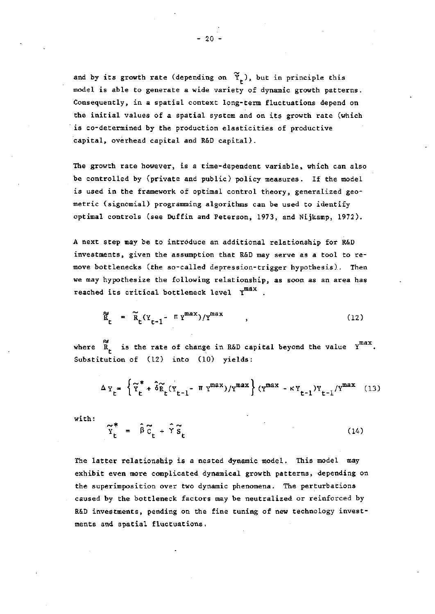and by its growth rate (depending on  $\widetilde{Y}_t$ ), but in principle this model is able to generate a wide variety of dynamic growth patterns. Consequently, in a spatial context long-term fluctuations depend on the initial values of a spatial system and on its growth rate (which is co-determined by the production elasticities of productive capital, overhead capital and R&D capital).

The growth rate however, is a time-dependent variable, which can also be controlled by (private and public) policy measures. If the model is used in the framework of optimal control theory, generalized geometrie (signomial) programming algorithms can be used to identify optimal controls (see Duffin and Peterson, 1973, and Nijkamp, 1972).

A next step may be to introducé an additional relationship for R&D investments, given the assumption that R&D may serve as a tooi to remove bottlenecks (the so-called depression-trigger hypothesis). Then we may hypothesize the following relationship, as soon as an area has reached its critical bottleneck level Y<sup>max</sup>.

$$
\widetilde{R}_{t} = \widetilde{R}_{t} (Y_{t-1} - \pi Y^{max}) / Y^{max} , \qquad (12)
$$

where  $\overline{R}_t$  is the rate of change in R&D capital beyond the value  $Y^{max}$ . Substitution of (12) into (10) yields:

$$
\Delta Y_t = \left\{ \widetilde{Y}_t^* + \widehat{\delta R}_t (Y_{t-1} - \pi Y^{max}) / Y^{max} \right\} (Y^{max} - \kappa Y_{t-1}) Y_{t-1} / Y^{max} \quad (13)
$$

with:

 $\widetilde{Y}_{k}^* = \widehat{\beta} \widetilde{C}_{k} + \widehat{Y} \widetilde{S}_{k}$  (14)

The latter relationship is a nested dynamic model. This model may exhibit even more complicated dynamical growth patterns, depending on the superimposition over two dynamic phenomena. The perturbations caused by the bottleneck factors may be neutralized or reinforced by R&D investments, pending on the fine tuning of new technology investments and spatial fluctuations.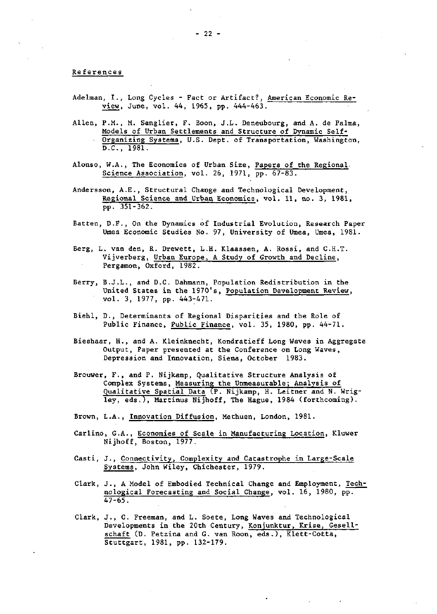### Re ferences

- Adelman, I., Long Cycles Fact or Artifact?, American Economie Review, June, vol. 44, 1965, pp. 444-463.
- Allen, P.M., M. Sanglier, F. Boon, J.L. Deneubourg, and A. de Palma, Models of Urban Settlements and Structure of Dynamic Self-Organizing Systems, U.S. Dept. of Transportation, Washington, D.C., 1981.
- Alonso, W.A., The Economics of Urban Size, Papers of the Regional Science Association, vol. 26, 1971, pp. 67-83.
- Andersson, A.E., Structural Change and Technological Development, Regional Science and Urban Economics, vol. 11, no. 3, 1981, pp. 351-362.
- Batten, D.F., On the Dynamics of Industrial Evolution, Research Paper Umea Economie Studies No. 97, University of Umea, Umea, 1981.
- Berg, L. van den, R. Drewett, L.H. Klaassen, A. Rossi, and C.H.T. Vijverberg, Urban Europe, A Study of Growth and Decline, Pergamon, Oxford, 1982.
- Berry, B.J.L., and D.C. Dahmann, Population Redistribution in the United States in the 1970's, Population Development Review, vol. 3, 1977, pp. 443-471.
- Biehl, D., Determinants of Regional Disparities and the Role of Public Finance, Public Finance, vol. 35, 1980, pp. 44-71.
- Bieshaar, H., and A. Kleinknecht, Kondratieff Long Waves in Aggregate Output, Paper presented at the Conference on Long Waves, Depression and Innovation, Siena, October 1983.
- Brouwer, F., and P. Nijkamp, Qualitative Structure Analysis of Complex Systems, Measuring the Unmeasurable; Analysis of Qualitative Spatial Data (P. Nijkamp, H. Leitner and N. Wrigley, eds.), Martinus Nijhoff, The Hague, 1984 (forthcoming).
- Brown, L.A., Innovation Diffusion, Methuen, London, 1981.
- Carlino, G.A., Economies of Scale in Manufacturing Location, Kluwer Nijhoff, Boston, 1977.
- Casti, J., Connectivity, Complexity and Catastrophe in Large-Scale Systems, John Wiley, Chichester, 1979.
- Clark, J., A Model of Embodied Technical Change and Employment, Technological Forecasting and Social Change, vol. 16, 1980, pp.  $47 - 65.$
- Clark, J., C. Freeman, and L. Soete, Long Waves and Technological Developments in the 20th Century, Konjunktur, Krise, Gesellschaft (D. Petzina and G. van Roon, eds.), Klett-Cotta, Stuttgart, 1981, pp. 132-179.